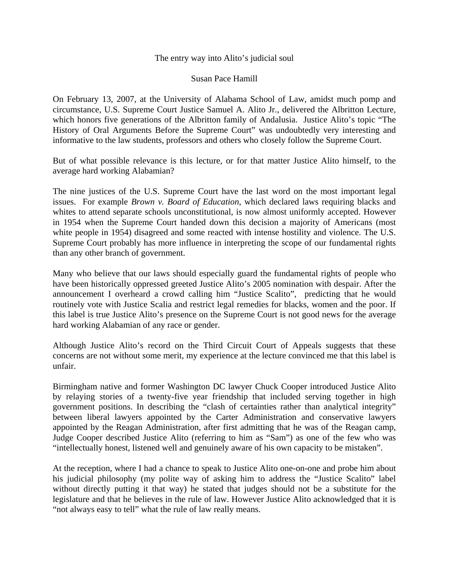## The entry way into Alito's judicial soul

## Susan Pace Hamill

On February 13, 2007, at the University of Alabama School of Law, amidst much pomp and circumstance, U.S. Supreme Court Justice Samuel A. Alito Jr., delivered the Albritton Lecture, which honors five generations of the Albritton family of Andalusia. Justice Alito's topic "The History of Oral Arguments Before the Supreme Court" was undoubtedly very interesting and informative to the law students, professors and others who closely follow the Supreme Court.

But of what possible relevance is this lecture, or for that matter Justice Alito himself, to the average hard working Alabamian?

The nine justices of the U.S. Supreme Court have the last word on the most important legal issues. For example *Brown v. Board of Education*, which declared laws requiring blacks and whites to attend separate schools unconstitutional, is now almost uniformly accepted. However in 1954 when the Supreme Court handed down this decision a majority of Americans (most white people in 1954) disagreed and some reacted with intense hostility and violence. The U.S. Supreme Court probably has more influence in interpreting the scope of our fundamental rights than any other branch of government.

Many who believe that our laws should especially guard the fundamental rights of people who have been historically oppressed greeted Justice Alito's 2005 nomination with despair. After the announcement I overheard a crowd calling him "Justice Scalito", predicting that he would routinely vote with Justice Scalia and restrict legal remedies for blacks, women and the poor. If this label is true Justice Alito's presence on the Supreme Court is not good news for the average hard working Alabamian of any race or gender.

Although Justice Alito's record on the Third Circuit Court of Appeals suggests that these concerns are not without some merit, my experience at the lecture convinced me that this label is unfair.

Birmingham native and former Washington DC lawyer Chuck Cooper introduced Justice Alito by relaying stories of a twenty-five year friendship that included serving together in high government positions. In describing the "clash of certainties rather than analytical integrity" between liberal lawyers appointed by the Carter Administration and conservative lawyers appointed by the Reagan Administration, after first admitting that he was of the Reagan camp, Judge Cooper described Justice Alito (referring to him as "Sam") as one of the few who was "intellectually honest, listened well and genuinely aware of his own capacity to be mistaken".

At the reception, where I had a chance to speak to Justice Alito one-on-one and probe him about his judicial philosophy (my polite way of asking him to address the "Justice Scalito" label without directly putting it that way) he stated that judges should not be a substitute for the legislature and that he believes in the rule of law. However Justice Alito acknowledged that it is "not always easy to tell" what the rule of law really means.